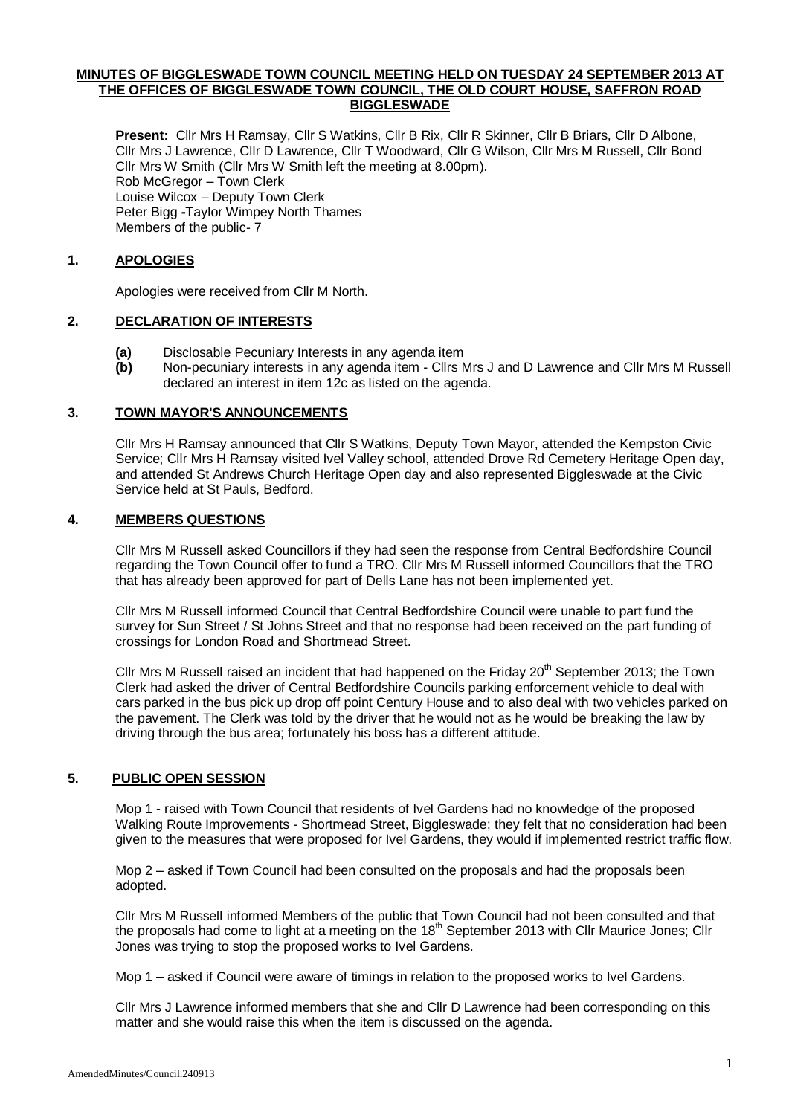## **MINUTES OF BIGGLESWADE TOWN COUNCIL MEETING HELD ON TUESDAY 24 SEPTEMBER 2013 AT THE OFFICES OF BIGGLESWADE TOWN COUNCIL, THE OLD COURT HOUSE, SAFFRON ROAD BIGGLESWADE**

**Present:** Cllr Mrs H Ramsay, Cllr S Watkins, Cllr B Rix, Cllr R Skinner, Cllr B Briars, Cllr D Albone, Cllr Mrs J Lawrence, Cllr D Lawrence, Cllr T Woodward, Cllr G Wilson, Cllr Mrs M Russell, Cllr Bond Cllr Mrs W Smith (Cllr Mrs W Smith left the meeting at 8.00pm). Rob McGregor – Town Clerk Louise Wilcox – Deputy Town Clerk Peter Bigg **-**Taylor Wimpey North Thames Members of the public- 7

# **1. APOLOGIES**

Apologies were received from Cllr M North.

## **2. DECLARATION OF INTERESTS**

- **(a)** Disclosable Pecuniary Interests in any agenda item
- **(b)** Non-pecuniary interests in any agenda item Cllrs Mrs J and D Lawrence and Cllr Mrs M Russell declared an interest in item 12c as listed on the agenda.

### **3. TOWN MAYOR'S ANNOUNCEMENTS**

Cllr Mrs H Ramsay announced that Cllr S Watkins, Deputy Town Mayor, attended the Kempston Civic Service; Cllr Mrs H Ramsay visited Ivel Valley school, attended Drove Rd Cemetery Heritage Open day, and attended St Andrews Church Heritage Open day and also represented Biggleswade at the Civic Service held at St Pauls, Bedford.

## **4. MEMBERS QUESTIONS**

Cllr Mrs M Russell asked Councillors if they had seen the response from Central Bedfordshire Council regarding the Town Council offer to fund a TRO. Cllr Mrs M Russell informed Councillors that the TRO that has already been approved for part of Dells Lane has not been implemented yet.

Cllr Mrs M Russell informed Council that Central Bedfordshire Council were unable to part fund the survey for Sun Street / St Johns Street and that no response had been received on the part funding of crossings for London Road and Shortmead Street.

Cllr Mrs M Russell raised an incident that had happened on the Friday 20<sup>th</sup> September 2013; the Town Clerk had asked the driver of Central Bedfordshire Councils parking enforcement vehicle to deal with cars parked in the bus pick up drop off point Century House and to also deal with two vehicles parked on the pavement. The Clerk was told by the driver that he would not as he would be breaking the law by driving through the bus area; fortunately his boss has a different attitude.

# **5. PUBLIC OPEN SESSION**

Mop 1 - raised with Town Council that residents of Ivel Gardens had no knowledge of the proposed Walking Route Improvements - Shortmead Street, Biggleswade; they felt that no consideration had been given to the measures that were proposed for Ivel Gardens, they would if implemented restrict traffic flow.

Mop 2 – asked if Town Council had been consulted on the proposals and had the proposals been adopted.

Cllr Mrs M Russell informed Members of the public that Town Council had not been consulted and that the proposals had come to light at a meeting on the  $18<sup>th</sup>$  September 2013 with Cllr Maurice Jones; Cllr Jones was trying to stop the proposed works to Ivel Gardens.

Mop 1 – asked if Council were aware of timings in relation to the proposed works to Ivel Gardens.

Cllr Mrs J Lawrence informed members that she and Cllr D Lawrence had been corresponding on this matter and she would raise this when the item is discussed on the agenda.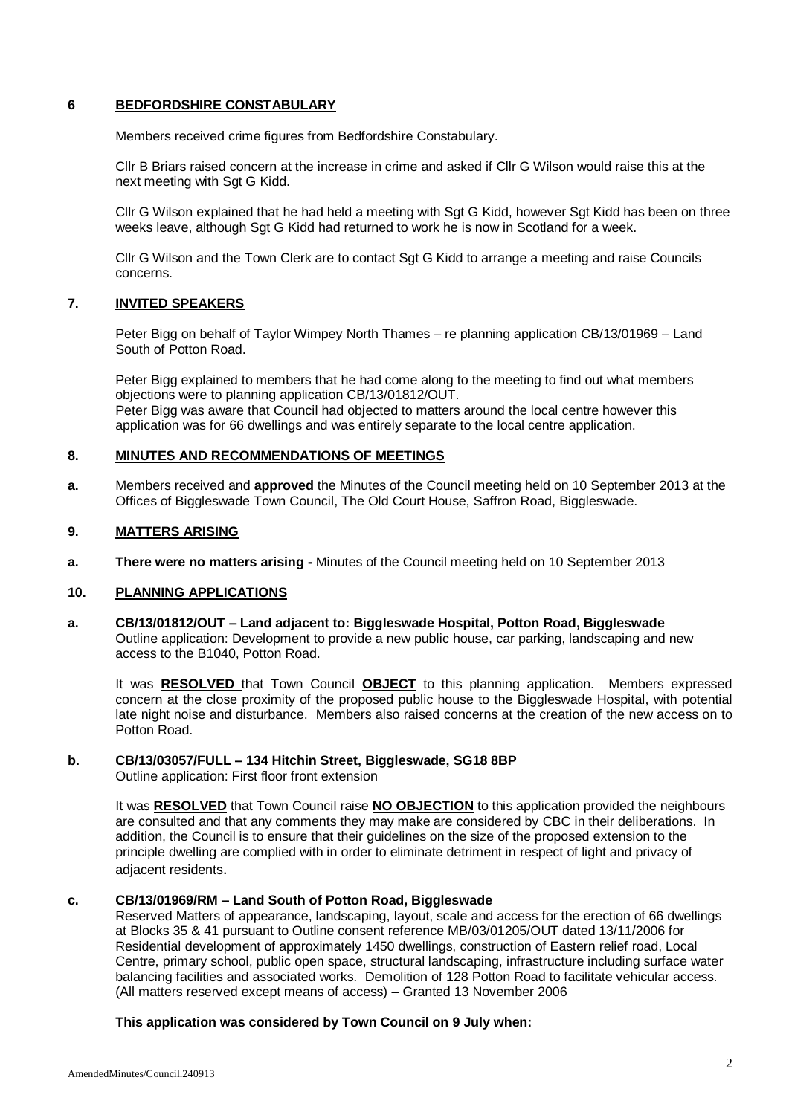# **6 BEDFORDSHIRE CONSTABULARY**

Members received crime figures from Bedfordshire Constabulary.

Cllr B Briars raised concern at the increase in crime and asked if Cllr G Wilson would raise this at the next meeting with Sgt G Kidd.

Cllr G Wilson explained that he had held a meeting with Sgt G Kidd, however Sgt Kidd has been on three weeks leave, although Sgt G Kidd had returned to work he is now in Scotland for a week.

Cllr G Wilson and the Town Clerk are to contact Sgt G Kidd to arrange a meeting and raise Councils concerns.

# **7. INVITED SPEAKERS**

Peter Bigg on behalf of Taylor Wimpey North Thames – re planning application CB/13/01969 – Land South of Potton Road.

Peter Bigg explained to members that he had come along to the meeting to find out what members objections were to planning application CB/13/01812/OUT. Peter Bigg was aware that Council had objected to matters around the local centre however this application was for 66 dwellings and was entirely separate to the local centre application.

## **8. MINUTES AND RECOMMENDATIONS OF MEETINGS**

**a.** Members received and **approved** the Minutes of the Council meeting held on 10 September 2013 at the Offices of Biggleswade Town Council, The Old Court House, Saffron Road, Biggleswade.

## **9. MATTERS ARISING**

**a. There were no matters arising -** Minutes of the Council meeting held on 10 September 2013

# **10. PLANNING APPLICATIONS**

**a. CB/13/01812/OUT – Land adjacent to: Biggleswade Hospital, Potton Road, Biggleswade** Outline application: Development to provide a new public house, car parking, landscaping and new access to the B1040, Potton Road.

It was **RESOLVED** that Town Council **OBJECT** to this planning application. Members expressed concern at the close proximity of the proposed public house to the Biggleswade Hospital, with potential late night noise and disturbance. Members also raised concerns at the creation of the new access on to Potton Road.

## **b. CB/13/03057/FULL – 134 Hitchin Street, Biggleswade, SG18 8BP**

Outline application: First floor front extension

It was **RESOLVED** that Town Council raise **NO OBJECTION** to this application provided the neighbours are consulted and that any comments they may make are considered by CBC in their deliberations. In addition, the Council is to ensure that their guidelines on the size of the proposed extension to the principle dwelling are complied with in order to eliminate detriment in respect of light and privacy of adjacent residents.

## **c. CB/13/01969/RM – Land South of Potton Road, Biggleswade**

Reserved Matters of appearance, landscaping, layout, scale and access for the erection of 66 dwellings at Blocks 35 & 41 pursuant to Outline consent reference MB/03/01205/OUT dated 13/11/2006 for Residential development of approximately 1450 dwellings, construction of Eastern relief road, Local Centre, primary school, public open space, structural landscaping, infrastructure including surface water balancing facilities and associated works. Demolition of 128 Potton Road to facilitate vehicular access. (All matters reserved except means of access) – Granted 13 November 2006

## **This application was considered by Town Council on 9 July when:**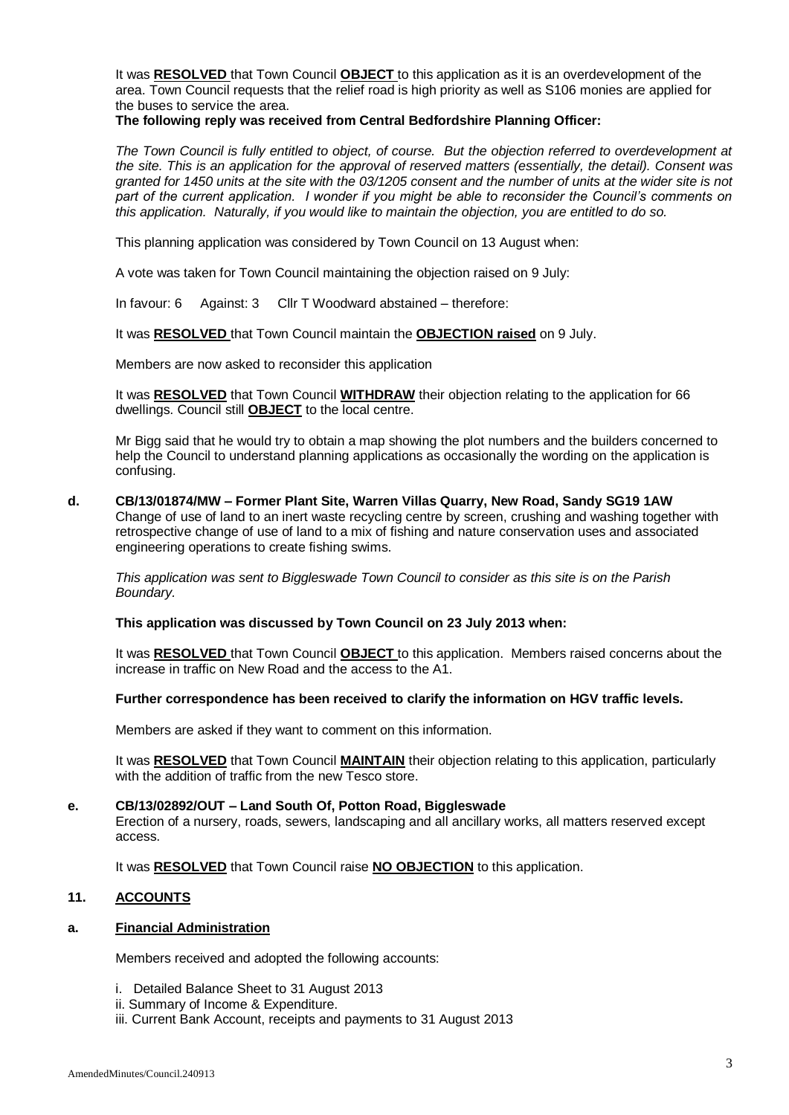It was **RESOLVED** that Town Council **OBJECT** to this application as it is an overdevelopment of the area. Town Council requests that the relief road is high priority as well as S106 monies are applied for the buses to service the area.

# **The following reply was received from Central Bedfordshire Planning Officer:**

*The Town Council is fully entitled to object, of course. But the objection referred to overdevelopment at the site. This is an application for the approval of reserved matters (essentially, the detail). Consent was granted for 1450 units at the site with the 03/1205 consent and the number of units at the wider site is not part of the current application. I wonder if you might be able to reconsider the Council's comments on this application. Naturally, if you would like to maintain the objection, you are entitled to do so.*

This planning application was considered by Town Council on 13 August when:

A vote was taken for Town Council maintaining the objection raised on 9 July:

In favour: 6 Against: 3 Cllr T Woodward abstained – therefore:

It was **RESOLVED** that Town Council maintain the **OBJECTION raised** on 9 July.

Members are now asked to reconsider this application

It was **RESOLVED** that Town Council **WITHDRAW** their objection relating to the application for 66 dwellings. Council still **OBJECT** to the local centre.

Mr Bigg said that he would try to obtain a map showing the plot numbers and the builders concerned to help the Council to understand planning applications as occasionally the wording on the application is confusing.

**d. CB/13/01874/MW – Former Plant Site, Warren Villas Quarry, New Road, Sandy SG19 1AW** Change of use of land to an inert waste recycling centre by screen, crushing and washing together with retrospective change of use of land to a mix of fishing and nature conservation uses and associated engineering operations to create fishing swims.

*This application was sent to Biggleswade Town Council to consider as this site is on the Parish Boundary.*

**This application was discussed by Town Council on 23 July 2013 when:**

It was **RESOLVED** that Town Council **OBJECT** to this application. Members raised concerns about the increase in traffic on New Road and the access to the A1.

# **Further correspondence has been received to clarify the information on HGV traffic levels.**

Members are asked if they want to comment on this information.

It was **RESOLVED** that Town Council **MAINTAIN** their objection relating to this application, particularly with the addition of traffic from the new Tesco store.

## **e. CB/13/02892/OUT – Land South Of, Potton Road, Biggleswade**

Erection of a nursery, roads, sewers, landscaping and all ancillary works, all matters reserved except access.

It was **RESOLVED** that Town Council raise **NO OBJECTION** to this application.

# **11. ACCOUNTS**

## **a. Financial Administration**

Members received and adopted the following accounts:

- i. Detailed Balance Sheet to 31 August 2013
- ii. Summary of Income & Expenditure.
- iii. Current Bank Account, receipts and payments to 31 August 2013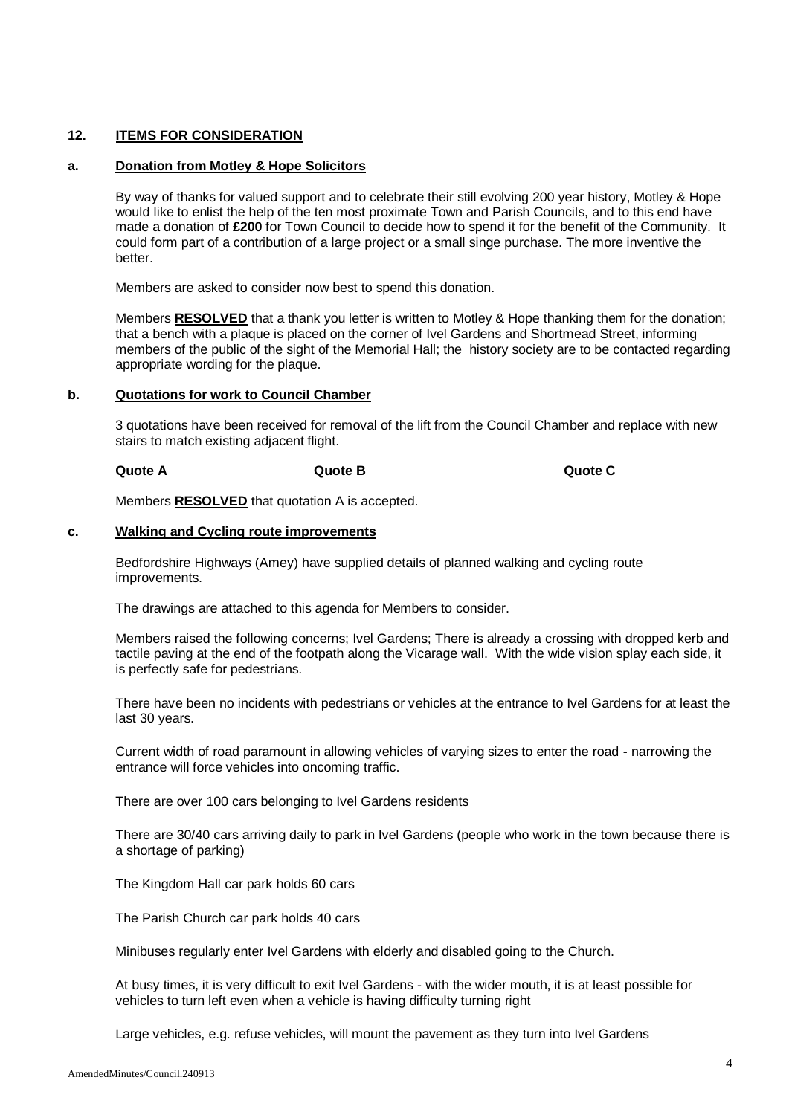# **12. ITEMS FOR CONSIDERATION**

# **a. Donation from Motley & Hope Solicitors**

By way of thanks for valued support and to celebrate their still evolving 200 year history, Motley & Hope would like to enlist the help of the ten most proximate Town and Parish Councils, and to this end have made a donation of **£200** for Town Council to decide how to spend it for the benefit of the Community. It could form part of a contribution of a large project or a small singe purchase. The more inventive the better.

Members are asked to consider now best to spend this donation.

Members **RESOLVED** that a thank you letter is written to Motley & Hope thanking them for the donation; that a bench with a plaque is placed on the corner of Ivel Gardens and Shortmead Street, informing members of the public of the sight of the Memorial Hall; the history society are to be contacted regarding appropriate wording for the plaque.

### **b. Quotations for work to Council Chamber**

3 quotations have been received for removal of the lift from the Council Chamber and replace with new stairs to match existing adjacent flight.

## **Quote A Quote B Quote C**

Members **RESOLVED** that quotation A is accepted.

### **c. Walking and Cycling route improvements**

Bedfordshire Highways (Amey) have supplied details of planned walking and cycling route improvements.

The drawings are attached to this agenda for Members to consider.

Members raised the following concerns; Ivel Gardens; There is already a crossing with dropped kerb and tactile paving at the end of the footpath along the Vicarage wall. With the wide vision splay each side, it is perfectly safe for pedestrians.

There have been no incidents with pedestrians or vehicles at the entrance to Ivel Gardens for at least the last 30 years.

Current width of road paramount in allowing vehicles of varying sizes to enter the road - narrowing the entrance will force vehicles into oncoming traffic.

There are over 100 cars belonging to Ivel Gardens residents

There are 30/40 cars arriving daily to park in Ivel Gardens (people who work in the town because there is a shortage of parking)

The Kingdom Hall car park holds 60 cars

The Parish Church car park holds 40 cars

Minibuses regularly enter Ivel Gardens with elderly and disabled going to the Church.

At busy times, it is very difficult to exit Ivel Gardens - with the wider mouth, it is at least possible for vehicles to turn left even when a vehicle is having difficulty turning right

Large vehicles, e.g. refuse vehicles, will mount the pavement as they turn into Ivel Gardens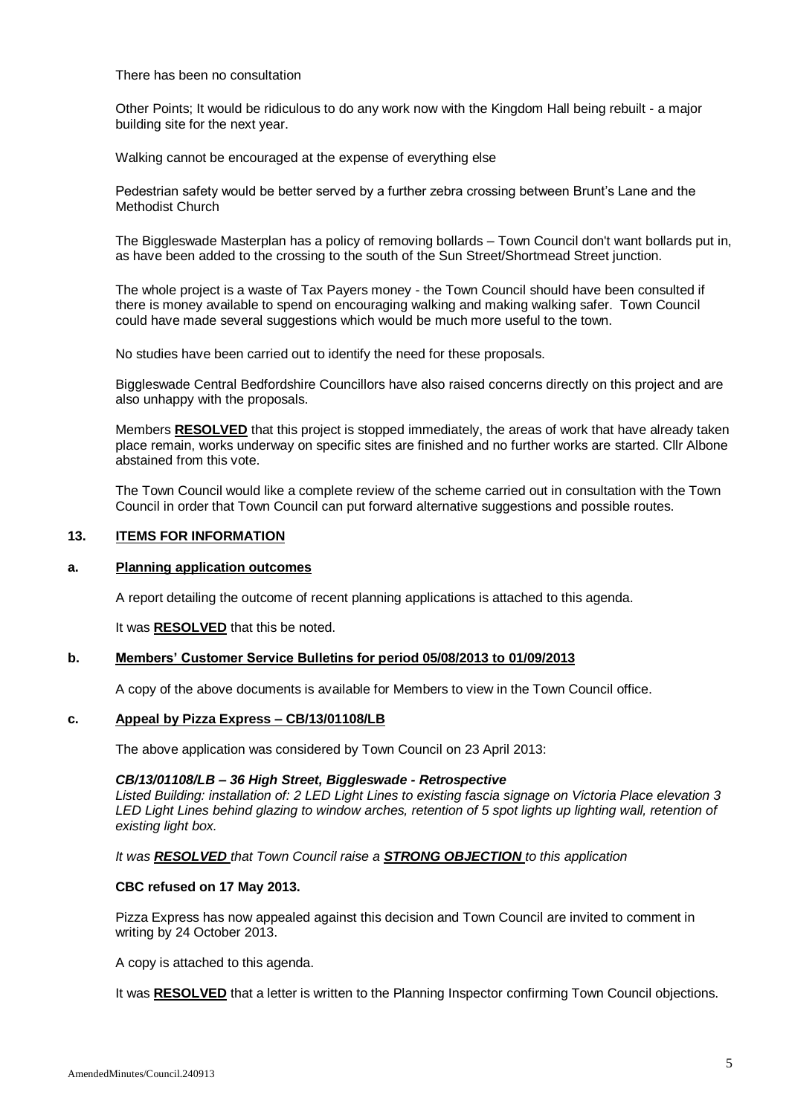There has been no consultation

Other Points; It would be ridiculous to do any work now with the Kingdom Hall being rebuilt - a major building site for the next year.

Walking cannot be encouraged at the expense of everything else

Pedestrian safety would be better served by a further zebra crossing between Brunt's Lane and the Methodist Church

The Biggleswade Masterplan has a policy of removing bollards – Town Council don't want bollards put in, as have been added to the crossing to the south of the Sun Street/Shortmead Street junction.

The whole project is a waste of Tax Payers money - the Town Council should have been consulted if there is money available to spend on encouraging walking and making walking safer. Town Council could have made several suggestions which would be much more useful to the town.

No studies have been carried out to identify the need for these proposals.

Biggleswade Central Bedfordshire Councillors have also raised concerns directly on this project and are also unhappy with the proposals.

Members **RESOLVED** that this project is stopped immediately, the areas of work that have already taken place remain, works underway on specific sites are finished and no further works are started. Cllr Albone abstained from this vote.

The Town Council would like a complete review of the scheme carried out in consultation with the Town Council in order that Town Council can put forward alternative suggestions and possible routes.

## **13. ITEMS FOR INFORMATION**

### **a. Planning application outcomes**

A report detailing the outcome of recent planning applications is attached to this agenda.

It was **RESOLVED** that this be noted.

## **b. Members' Customer Service Bulletins for period 05/08/2013 to 01/09/2013**

A copy of the above documents is available for Members to view in the Town Council office.

# **c. Appeal by Pizza Express – CB/13/01108/LB**

The above application was considered by Town Council on 23 April 2013:

### *CB/13/01108/LB – 36 High Street, Biggleswade - Retrospective*

*Listed Building: installation of: 2 LED Light Lines to existing fascia signage on Victoria Place elevation 3 LED Light Lines behind glazing to window arches, retention of 5 spot lights up lighting wall, retention of existing light box.*

### *It was RESOLVED that Town Council raise a STRONG OBJECTION to this application*

### **CBC refused on 17 May 2013.**

Pizza Express has now appealed against this decision and Town Council are invited to comment in writing by 24 October 2013.

A copy is attached to this agenda.

It was **RESOLVED** that a letter is written to the Planning Inspector confirming Town Council objections.